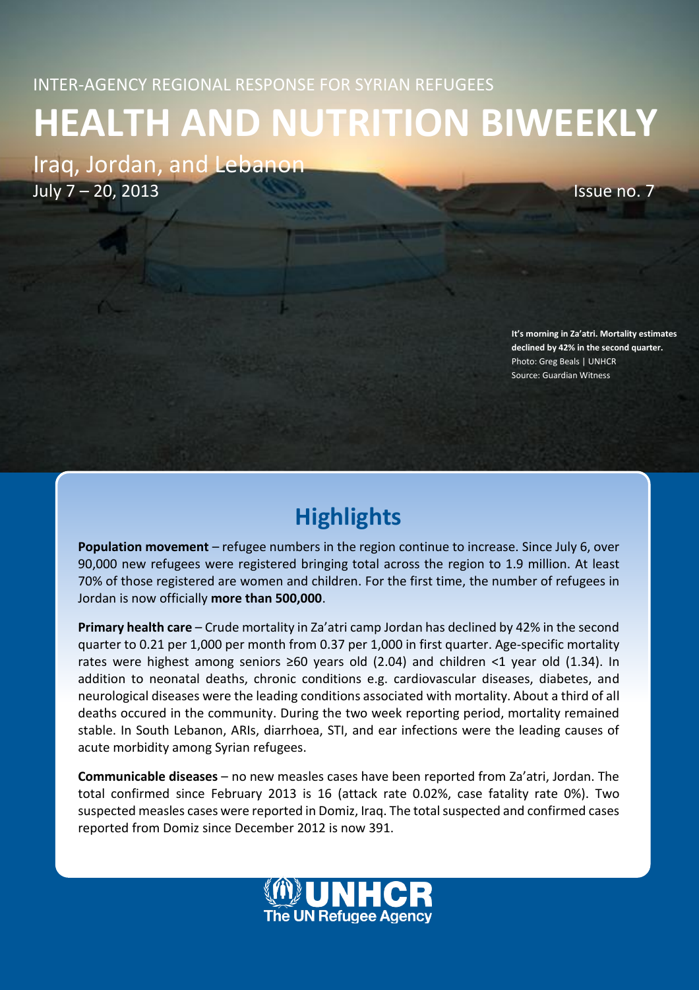# **HEALTH AND NUTRITION BIWEEKLY**

Iraq, Jordan, and Lebanon July 7 – 20, 2013 Issue no. 7

**It's morning in Za'atri. Mortality estimates declined by 42% in the second quarter.**  Photo: Greg Beals | UNHCR Source: Guardian Witness

# **Highlights**

**Population movement** – refugee numbers in the region continue to increase. Since July 6, over 90,000 new refugees were registered bringing total across the region to 1.9 million. At least 70% of those registered are women and children. For the first time, the number of refugees in Jordan is now officially **more than 500,000**.

**Primary health care** – Crude mortality in Za'atri camp Jordan has declined by 42% in the second quarter to 0.21 per 1,000 per month from 0.37 per 1,000 in first quarter. Age-specific mortality rates were highest among seniors ≥60 years old (2.04) and children <1 year old (1.34). In addition to neonatal deaths, chronic conditions e.g. cardiovascular diseases, diabetes, and neurological diseases were the leading conditions associated with mortality. About a third of all deaths occured in the community. During the two week reporting period, mortality remained stable. In South Lebanon, ARIs, diarrhoea, STI, and ear infections were the leading causes of acute morbidity among Syrian refugees.

**Communicable diseases** – no new measles cases have been reported from Za'atri, Jordan. The total confirmed since February 2013 is 16 (attack rate 0.02%, case fatality rate 0%). Two suspected measles cases were reported in Domiz, Iraq. The total suspected and confirmed cases reported from Domiz since December 2012 is now 391.

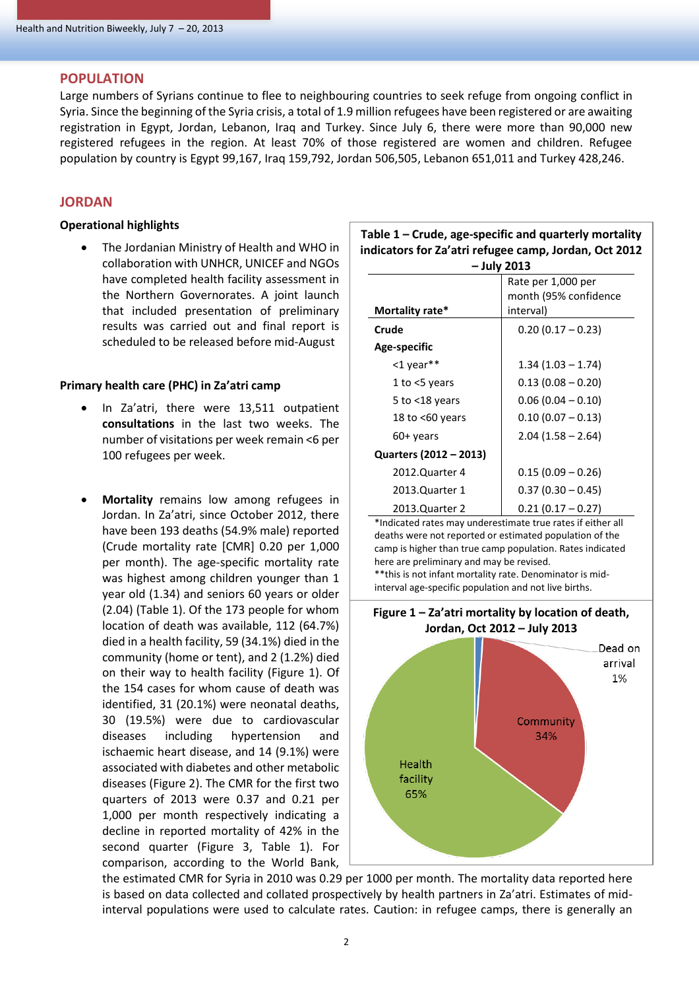# **POPULATION**

Large numbers of Syrians continue to flee to neighbouring countries to seek refuge from ongoing conflict in Syria. Since the beginning of the Syria crisis, a total of 1.9 million refugees have been registered or are awaiting registration in Egypt, Jordan, Lebanon, Iraq and Turkey. Since July 6, there were more than 90,000 new registered refugees in the region. At least 70% of those registered are women and children. Refugee population by country is Egypt 99,167, Iraq 159,792, Jordan 506,505, Lebanon 651,011 and Turkey 428,246.

# **JORDAN**

# **Operational highlights**

 The Jordanian Ministry of Health and WHO in collaboration with UNHCR, UNICEF and NGOs have completed health facility assessment in the Northern Governorates. A joint launch that included presentation of preliminary results was carried out and final report is scheduled to be released before mid-August

# **Primary health care (PHC) in Za'atri camp**

- In Za'atri, there were 13,511 outpatient **consultations** in the last two weeks. The number of visitations per week remain <6 per 100 refugees per week.
- **Mortality** remains low among refugees in Jordan. In Za'atri, since October 2012, there have been 193 deaths (54.9% male) reported (Crude mortality rate [CMR] 0.20 per 1,000 per month). The age-specific mortality rate was highest among children younger than 1 year old (1.34) and seniors 60 years or older (2.04) (Table 1). Of the 173 people for whom location of death was available, 112 (64.7%) died in a health facility, 59 (34.1%) died in the community (home or tent), and 2 (1.2%) died on their way to health facility (Figure 1). Of the 154 cases for whom cause of death was identified, 31 (20.1%) were neonatal deaths, 30 (19.5%) were due to cardiovascular diseases including hypertension and ischaemic heart disease, and 14 (9.1%) were associated with diabetes and other metabolic diseases (Figure 2). The CMR for the first two quarters of 2013 were 0.37 and 0.21 per 1,000 per month respectively indicating a decline in reported mortality of 42% in the second quarter (Figure 3, Table 1). For comparison, according to the World Bank,

| Table $1$ – Crude, age-specific and quarterly mortality |
|---------------------------------------------------------|
| indicators for Za'atri refugee camp, Jordan, Oct 2012   |
| – Iuly 2013                                             |

| - July 2013            |                       |  |
|------------------------|-----------------------|--|
|                        | Rate per 1,000 per    |  |
|                        | month (95% confidence |  |
| Mortality rate*        | interval)             |  |
| Crude                  | $0.20(0.17 - 0.23)$   |  |
| Age-specific           |                       |  |
| <1 year**              | $1.34(1.03 - 1.74)$   |  |
| 1 to $<$ 5 years       | $0.13(0.08 - 0.20)$   |  |
| 5 to $<$ 18 years      | $0.06(0.04 - 0.10)$   |  |
| 18 to $<$ 60 years     | $0.10(0.07 - 0.13)$   |  |
| 60+ years              | $2.04(1.58 - 2.64)$   |  |
| Quarters (2012 – 2013) |                       |  |
| 2012.Quarter 4         | $0.15(0.09 - 0.26)$   |  |
| 2013.Quarter 1         | $0.37(0.30 - 0.45)$   |  |
| 2013.Quarter 2         | $0.21(0.17 - 0.27)$   |  |

\*Indicated rates may underestimate true rates if either all deaths were not reported or estimated population of the camp is higher than true camp population. Rates indicated here are preliminary and may be revised.

\*\*this is not infant mortality rate. Denominator is midinterval age-specific population and not live births.



the estimated CMR for Syria in 2010 was 0.29 per 1000 per month. The mortality data reported here is based on data collected and collated prospectively by health partners in Za'atri. Estimates of midinterval populations were used to calculate rates. Caution: in refugee camps, there is generally an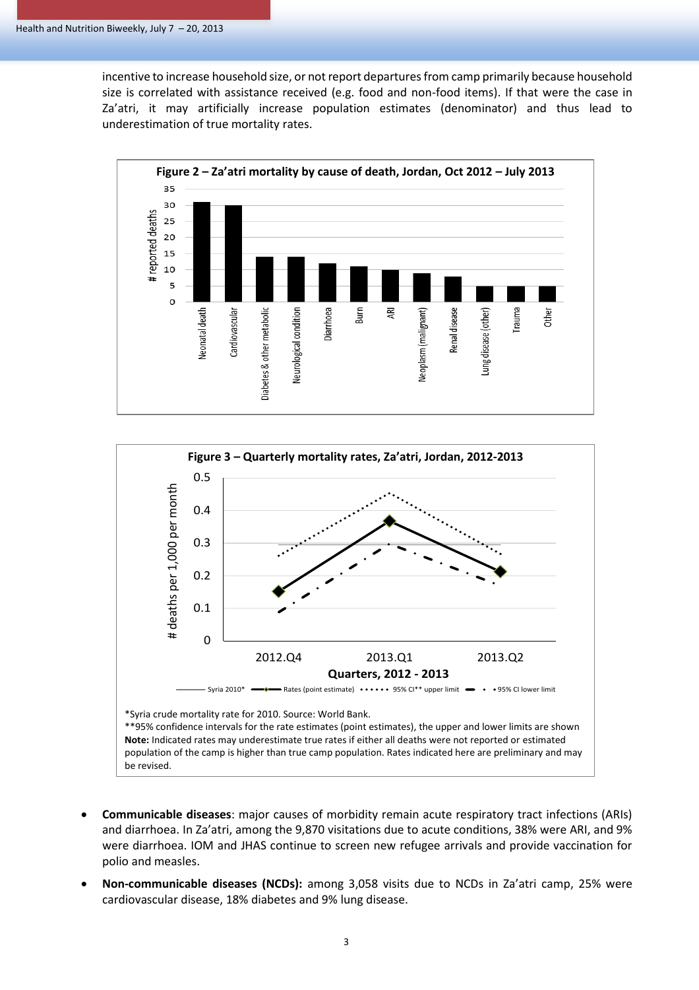incentive to increase household size, or not report departures from camp primarily because household size is correlated with assistance received (e.g. food and non-food items). If that were the case in Za'atri, it may artificially increase population estimates (denominator) and thus lead to underestimation of true mortality rates.





- **Communicable diseases**: major causes of morbidity remain acute respiratory tract infections (ARIs) and diarrhoea. In Za'atri, among the 9,870 visitations due to acute conditions, 38% were ARI, and 9% were diarrhoea. IOM and JHAS continue to screen new refugee arrivals and provide vaccination for polio and measles.
- **Non-communicable diseases (NCDs):** among 3,058 visits due to NCDs in Za'atri camp, 25% were cardiovascular disease, 18% diabetes and 9% lung disease.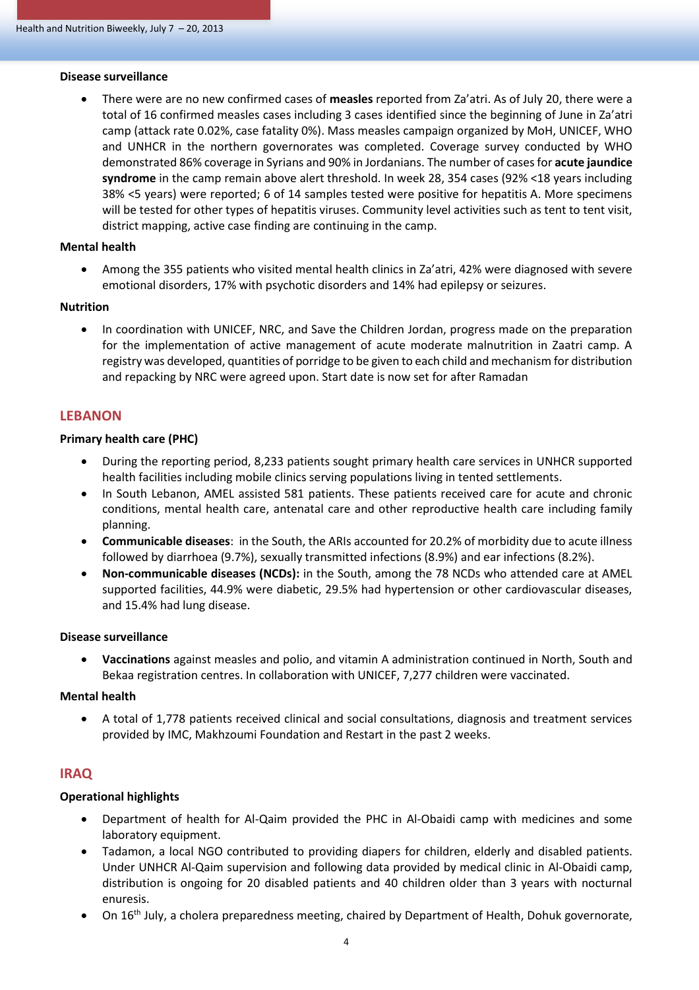#### **Disease surveillance**

 There were are no new confirmed cases of **measles** reported from Za'atri. As of July 20, there were a total of 16 confirmed measles cases including 3 cases identified since the beginning of June in Za'atri camp (attack rate 0.02%, case fatality 0%). Mass measles campaign organized by MoH, UNICEF, WHO and UNHCR in the northern governorates was completed. Coverage survey conducted by WHO demonstrated 86% coverage in Syrians and 90% in Jordanians. The number of cases for **acute jaundice syndrome** in the camp remain above alert threshold. In week 28, 354 cases (92% <18 years including 38% <5 years) were reported; 6 of 14 samples tested were positive for hepatitis A. More specimens will be tested for other types of hepatitis viruses. Community level activities such as tent to tent visit, district mapping, active case finding are continuing in the camp.

## **Mental health**

 Among the 355 patients who visited mental health clinics in Za'atri, 42% were diagnosed with severe emotional disorders, 17% with psychotic disorders and 14% had epilepsy or seizures.

#### **Nutrition**

• In coordination with UNICEF, NRC, and Save the Children Jordan, progress made on the preparation for the implementation of active management of acute moderate malnutrition in Zaatri camp. A registry was developed, quantities of porridge to be given to each child and mechanism for distribution and repacking by NRC were agreed upon. Start date is now set for after Ramadan

# **LEBANON**

## **Primary health care (PHC)**

- During the reporting period, 8,233 patients sought primary health care services in UNHCR supported health facilities including mobile clinics serving populations living in tented settlements.
- In South Lebanon, AMEL assisted 581 patients. These patients received care for acute and chronic conditions, mental health care, antenatal care and other reproductive health care including family planning.
- **Communicable diseases**: in the South, the ARIs accounted for 20.2% of morbidity due to acute illness followed by diarrhoea (9.7%), sexually transmitted infections (8.9%) and ear infections (8.2%).
- **Non-communicable diseases (NCDs):** in the South, among the 78 NCDs who attended care at AMEL supported facilities, 44.9% were diabetic, 29.5% had hypertension or other cardiovascular diseases, and 15.4% had lung disease.

#### **Disease surveillance**

 **Vaccinations** against measles and polio, and vitamin A administration continued in North, South and Bekaa registration centres. In collaboration with UNICEF, 7,277 children were vaccinated.

## **Mental health**

 A total of 1,778 patients received clinical and social consultations, diagnosis and treatment services provided by IMC, Makhzoumi Foundation and Restart in the past 2 weeks.

# **IRAQ**

## **Operational highlights**

- Department of health for Al-Qaim provided the PHC in Al-Obaidi camp with medicines and some laboratory equipment.
- Tadamon, a local NGO contributed to providing diapers for children, elderly and disabled patients. Under UNHCR Al-Qaim supervision and following data provided by medical clinic in Al-Obaidi camp, distribution is ongoing for 20 disabled patients and 40 children older than 3 years with nocturnal enuresis.
- On 16th July, a cholera preparedness meeting, chaired by Department of Health, Dohuk governorate,